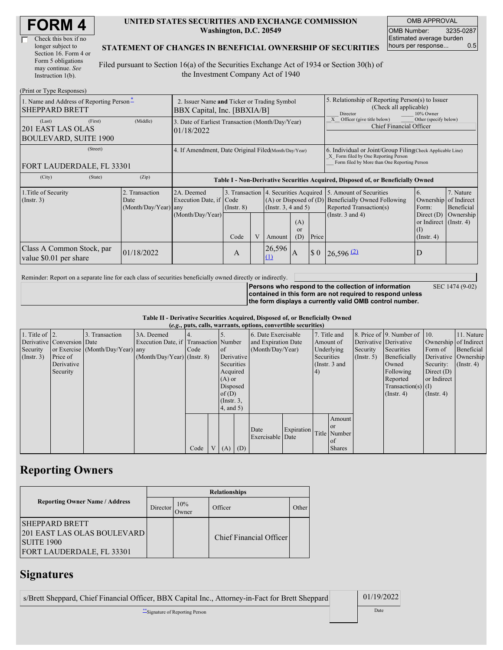| <b>FORM4</b> |
|--------------|
|--------------|

| Check this box if no  |
|-----------------------|
| longer subject to     |
| Section 16. Form 4 or |
| Form 5 obligations    |
| may continue. See     |
| Instruction $1(b)$ .  |

#### **UNITED STATES SECURITIES AND EXCHANGE COMMISSION Washington, D.C. 20549**

OMB APPROVAL OMB Number: 3235-0287 Estimated average burden hours per response... 0.5

SEC 1474 (9-02)

#### **STATEMENT OF CHANGES IN BENEFICIAL OWNERSHIP OF SECURITIES**

Filed pursuant to Section 16(a) of the Securities Exchange Act of 1934 or Section 30(h) of the Investment Company Act of 1940

| (Print or Type Responses)                                              |                                                                            |                                                                                  |                                           |  |               |                                                                                                                                                    |                                                                                       |                                                                                                                    |                                                                                               |                                                     |
|------------------------------------------------------------------------|----------------------------------------------------------------------------|----------------------------------------------------------------------------------|-------------------------------------------|--|---------------|----------------------------------------------------------------------------------------------------------------------------------------------------|---------------------------------------------------------------------------------------|--------------------------------------------------------------------------------------------------------------------|-----------------------------------------------------------------------------------------------|-----------------------------------------------------|
| 1. Name and Address of Reporting Person-<br><b>SHEPPARD BRETT</b>      | 2. Issuer Name and Ticker or Trading Symbol<br>BBX Capital, Inc. [BBXIA/B] |                                                                                  |                                           |  |               | 5. Relationship of Reporting Person(s) to Issuer<br>(Check all applicable)<br>Director<br>10% Owner                                                |                                                                                       |                                                                                                                    |                                                                                               |                                                     |
| (First)<br>(Last)<br>201 EAST LAS OLAS<br><b>BOULEVARD, SUITE 1900</b> | (Middle)                                                                   | 3. Date of Earliest Transaction (Month/Day/Year)<br>01/18/2022                   |                                           |  |               |                                                                                                                                                    | Officer (give title below)<br>Other (specify below)<br><b>Chief Financial Officer</b> |                                                                                                                    |                                                                                               |                                                     |
| (Street)<br>FORT LAUDERDALE, FL 33301                                  | 4. If Amendment, Date Original Filed(Month/Day/Year)                       |                                                                                  |                                           |  |               | 6. Individual or Joint/Group Filing Check Applicable Line)<br>X Form filed by One Reporting Person<br>Form filed by More than One Reporting Person |                                                                                       |                                                                                                                    |                                                                                               |                                                     |
| (State)<br>(City)                                                      | (Zip)                                                                      | Table I - Non-Derivative Securities Acquired, Disposed of, or Beneficially Owned |                                           |  |               |                                                                                                                                                    |                                                                                       |                                                                                                                    |                                                                                               |                                                     |
| 1. Title of Security<br>(Insert. 3)                                    | 2. Transaction<br>Date<br>(Month/Day/Year) any                             | 2A. Deemed<br>Execution Date, if Code<br>(Month/Day/Year)                        | 3. Transaction<br>$($ Instr. $8)$<br>Code |  | Amount        | 4. Securities Acquired<br>$(A)$ or Disposed of $(D)$<br>(Instr. $3, 4$ and $5$ )<br>(A)<br>or<br>(D)<br>Price                                      |                                                                                       | 5. Amount of Securities<br><b>Beneficially Owned Following</b><br>Reported Transaction(s)<br>(Instr. $3$ and $4$ ) | 6.<br>Ownership<br>Form:<br>Direct $(D)$<br>or Indirect (Instr. 4)<br>(I)<br>$($ Instr. 4 $)$ | 7. Nature<br>of Indirect<br>Beneficial<br>Ownership |
| Class A Common Stock, par<br>value \$0.01 per share                    | 01/18/2022                                                                 |                                                                                  | A                                         |  | 26,596<br>(1) | IA.                                                                                                                                                | $\boldsymbol{\mathsf{S}}$ 0                                                           | $26,596$ <sup>(2)</sup>                                                                                            | D                                                                                             |                                                     |

Reminder: Report on a separate line for each class of securities beneficially owned directly or indirectly.

**Persons who respond to the collection of information contained in this form are not required to respond unless the form displays a currently valid OMB control number.**

**Table II - Derivative Securities Acquired, Disposed of, or Beneficially Owned**

|                        | (e.g., puts, calls, warrants, options, convertible securities) |                                  |                                       |      |  |                 |            |                     |                  |              |               |              |                              |                       |            |
|------------------------|----------------------------------------------------------------|----------------------------------|---------------------------------------|------|--|-----------------|------------|---------------------|------------------|--------------|---------------|--------------|------------------------------|-----------------------|------------|
| 1. Title of $\vert$ 2. |                                                                | 3. Transaction                   | 3A. Deemed                            |      |  |                 |            | 6. Date Exercisable |                  | 7. Title and |               |              | 8. Price of 9. Number of 10. |                       | 11. Nature |
|                        | Derivative Conversion Date                                     |                                  | Execution Date, if Transaction Number |      |  |                 |            | and Expiration Date |                  | Amount of    |               |              | Derivative Derivative        | Ownership of Indirect |            |
| Security               |                                                                | or Exercise (Month/Day/Year) any |                                       | Code |  | of              |            |                     | (Month/Day/Year) |              | Underlying    | Security     | Securities                   | Form of               | Beneficial |
| $($ Instr. 3 $)$       | Price of                                                       |                                  | $(Month/Day/Year)$ (Instr. 8)         |      |  |                 | Derivative |                     | Securities       |              | $($ Instr. 5) | Beneficially | Derivative Ownership         |                       |            |
|                        | Derivative                                                     |                                  |                                       |      |  | Securities      |            | (Instr. $3$ and     |                  |              | Owned         | Security:    | $($ Instr. 4)                |                       |            |
|                        | Security                                                       |                                  |                                       |      |  | Acquired        |            |                     |                  | 4)           |               |              | Following                    | Direct $(D)$          |            |
|                        |                                                                |                                  |                                       |      |  | $(A)$ or        |            |                     |                  |              |               |              | Reported                     | or Indirect           |            |
|                        |                                                                |                                  |                                       |      |  | Disposed        |            |                     |                  |              |               |              | $Transaction(s)$ (I)         |                       |            |
|                        |                                                                |                                  |                                       |      |  | of(D)           |            |                     |                  |              |               |              | $($ Instr. 4 $)$             | $($ Instr. 4 $)$      |            |
|                        |                                                                |                                  |                                       |      |  | $($ Instr. $3,$ |            |                     |                  |              |               |              |                              |                       |            |
|                        |                                                                |                                  |                                       |      |  | $4$ , and $5$ ) |            |                     |                  |              |               |              |                              |                       |            |
|                        |                                                                |                                  |                                       |      |  |                 |            |                     |                  |              | Amount        |              |                              |                       |            |
|                        |                                                                |                                  |                                       |      |  |                 |            |                     |                  |              | <sub>or</sub> |              |                              |                       |            |
|                        |                                                                |                                  |                                       |      |  |                 |            | Date                | Expiration       |              | Title Number  |              |                              |                       |            |
|                        |                                                                |                                  |                                       |      |  |                 |            | Exercisable Date    |                  |              | <sub>of</sub> |              |                              |                       |            |
|                        |                                                                |                                  |                                       | Code |  | V(A)            | (D)        |                     |                  |              | <b>Shares</b> |              |                              |                       |            |

## **Reporting Owners**

|                                                                                                         | <b>Relationships</b> |                      |                         |       |  |  |  |
|---------------------------------------------------------------------------------------------------------|----------------------|----------------------|-------------------------|-------|--|--|--|
| <b>Reporting Owner Name / Address</b>                                                                   | Director             | 10%<br><b>J</b> wner | Officer                 | Other |  |  |  |
| <b>ISHEPPARD BRETT</b><br>201 EAST LAS OLAS BOULEVARD<br><b>SUITE 1900</b><br>FORT LAUDERDALE, FL 33301 |                      |                      | Chief Financial Officer |       |  |  |  |

## **Signatures**

s/Brett Sheppard, Chief Financial Officer, BBX Capital Inc., Attorney-in-Fact for Brett Sheppard 01/19/2022

\*\*Signature of Reporting Person Date **Date**